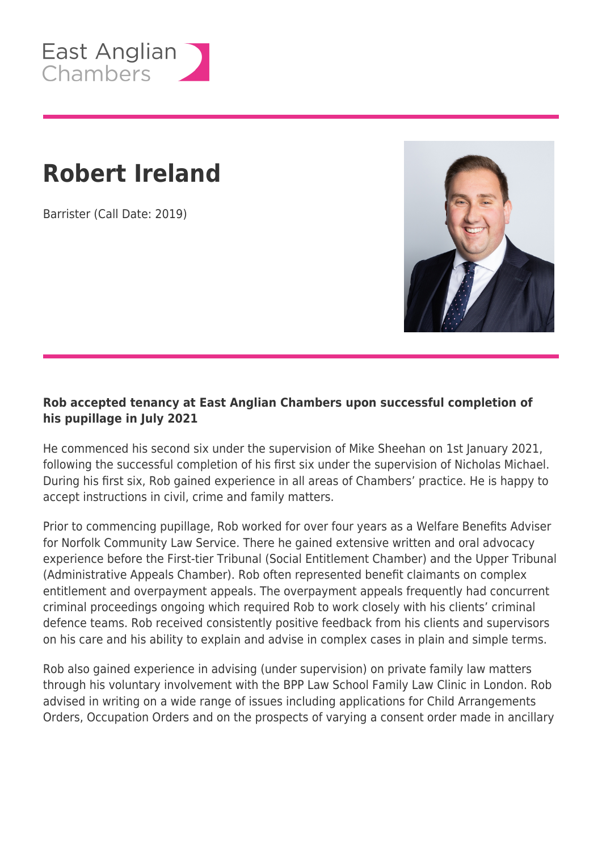

## **Robert Ireland**

Barrister (Call Date: 2019)



## **Rob accepted tenancy at East Anglian Chambers upon successful completion of his pupillage in July 2021**

He commenced his second six under the supervision of Mike Sheehan on 1st January 2021, following the successful completion of his first six under the supervision of Nicholas Michael. During his first six, Rob gained experience in all areas of Chambers' practice. He is happy to accept instructions in civil, crime and family matters.

Prior to commencing pupillage, Rob worked for over four years as a Welfare Benefits Adviser for Norfolk Community Law Service. There he gained extensive written and oral advocacy experience before the First-tier Tribunal (Social Entitlement Chamber) and the Upper Tribunal (Administrative Appeals Chamber). Rob often represented benefit claimants on complex entitlement and overpayment appeals. The overpayment appeals frequently had concurrent criminal proceedings ongoing which required Rob to work closely with his clients' criminal defence teams. Rob received consistently positive feedback from his clients and supervisors on his care and his ability to explain and advise in complex cases in plain and simple terms.

Rob also gained experience in advising (under supervision) on private family law matters through his voluntary involvement with the BPP Law School Family Law Clinic in London. Rob advised in writing on a wide range of issues including applications for Child Arrangements Orders, Occupation Orders and on the prospects of varying a consent order made in ancillary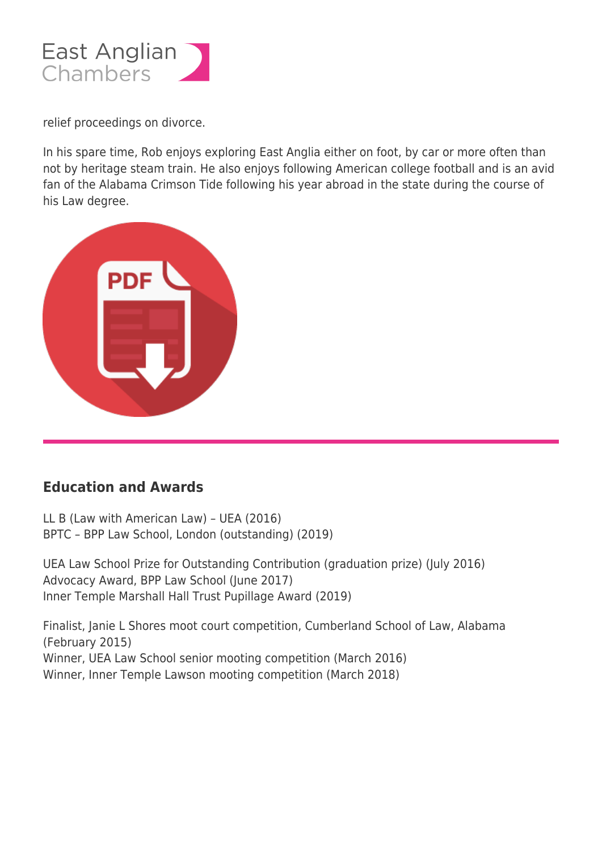

relief proceedings on divorce.

In his spare time, Rob enjoys exploring East Anglia either on foot, by car or more often than not by heritage steam train. He also enjoys following American college football and is an avid fan of the Alabama Crimson Tide following his year abroad in the state during the course of his Law degree.



## **Education and Awards**

LL B (Law with American Law) – UEA (2016) BPTC – BPP Law School, London (outstanding) (2019)

UEA Law School Prize for Outstanding Contribution (graduation prize) (July 2016) Advocacy Award, BPP Law School (June 2017) Inner Temple Marshall Hall Trust Pupillage Award (2019)

Finalist, Janie L Shores moot court competition, Cumberland School of Law, Alabama (February 2015) Winner, UEA Law School senior mooting competition (March 2016) Winner, Inner Temple Lawson mooting competition (March 2018)